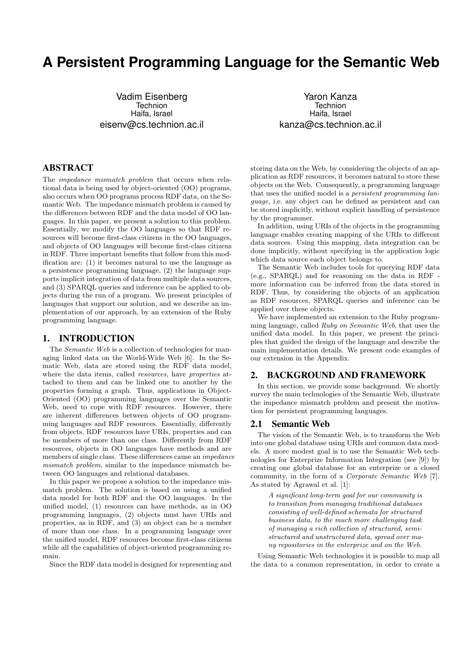# **A Persistent Programming Language for the Semantic Web**

Vadim Eisenberg **Technion** Haifa, Israel eisenv@cs.technion.ac.il

Yaron Kanza Technion Haifa, Israel kanza@cs.technion.ac.il

### ABSTRACT

The impedance mismatch problem that occurs when relational data is being used by object-oriented (OO) programs, also occurs when OO programs process RDF data, on the Semantic Web. The impedance mismatch problem is caused by the differences between RDF and the data model of OO languages. In this paper, we present a solution to this problem. Essentially, we modify the OO languages so that RDF resources will become first-class citizens in the OO languages, and objects of OO languages will become first-class citizens in RDF. Three important benefits that follow from this modification are: (1) it becomes natural to use the language as a persistence programming language, (2) the language supports implicit integration of data from multiple data sources, and (3) SPARQL queries and inference can be applied to objects during the run of a program. We present principles of languages that support our solution, and we describe an implementation of our approach, by an extension of the Ruby programming language.

#### 1. INTRODUCTION

The Semantic Web is a collection of technologies for managing linked data on the World-Wide Web [6]. In the Sematic Web, data are stored using the RDF data model, where the data items, called *resources*, have *properties* attached to them and can be linked one to another by the properties forming a graph. Thus, applications in Object-Oriented (OO) programming languages over the Semantic Web, need to cope with RDF resources. However, there are inherent differences between objects of OO programming languages and RDF resources. Essentially, differently from objects, RDF resources have URIs, properties and can be members of more than one class. Differently from RDF resources, objects in OO languages have methods and are members of single class. These differences cause an impedance mismatch problem, similar to the impedance mismatch between OO languages and relational databases.

In this paper we propose a solution to the impedance mismatch problem. The solution is based on using a unified data model for both RDF and the OO languages. In the unified model, (1) resources can have methods, as in OO programming languages, (2) objects must have URIs and properties, as in RDF, and (3) an object can be a member of more than one class. In a programming language over the unified model, RDF resources become first-class citizens while all the capabilities of object-oriented programming remain.

Since the RDF data model is designed for representing and

storing data on the Web, by considering the objects of an application as RDF resources, it becomes natural to store these objects on the Web. Consequently, a programming language that uses the unified model is a persistent programming language, i.e. any object can be defined as persistent and can be stored implicitly, without explicit handling of persistence by the programmer.

In addition, using URIs of the objects in the programming language enables creating mapping of the URIs to different data sources. Using this mapping, data integration can be done implicitly, without specifying in the application logic which data source each object belongs to.

The Semantic Web includes tools for querying RDF data (e.g., SPARQL) and for reasoning on the data in RDF more information can be inferred from the data stored in RDF. Thus, by considering the objects of an application as RDF resources, SPARQL queries and inference can be applied over these objects.

We have implemented an extension to the Ruby programming language, called Ruby on Semantic Web, that uses the unified data model. In this paper, we present the principles that guided the design of the language and describe the main implementation details. We present code examples of our extension in the Appendix.

### 2. BACKGROUND AND FRAMEWORK

In this section, we provide some background. We shortly survey the main technologies of the Semantic Web, illustrate the impedance mismatch problem and present the motivation for persistent programming languages.

#### 2.1 Semantic Web

The vision of the Semantic Web, is to transform the Web into one global database using URIs and common data models. A more modest goal is to use the Semantic Web technologies for Enterprize Information Integration (see [9]) by creating one global database for an enterprize or a closed community, in the form of a Corporate Semantic Web [7]. As stated by Agrawal et al. [1]:

A significant long-term goal for our community is to transition from managing traditional databases consisting of well-defined schemata for structured business data, to the much more challenging task of managing a rich collection of structured, semistructured and unstructured data, spread over many repositories in the enterprize and on the Web.

Using Semantic Web technologies it is possible to map all the data to a common representation, in order to create a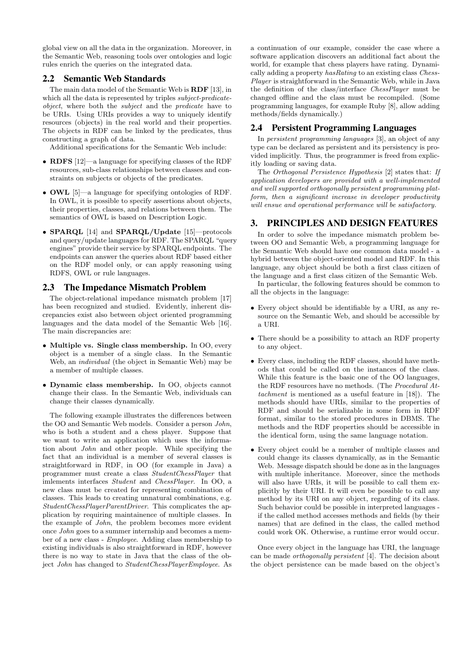global view on all the data in the organization. Moreover, in the Semantic Web, reasoning tools over ontologies and logic rules enrich the queries on the integrated data.

#### 2.2 Semantic Web Standards

The main data model of the Semantic Web is RDF [13], in which all the data is represented by triples *subject-predicate*object, where both the subject and the predicate have to be URIs. Using URIs provides a way to uniquely identify resources (objects) in the real world and their properties. The objects in RDF can be linked by the predicates, thus constructing a graph of data.

Additional specifications for the Semantic Web include:

- RDFS [12]—a language for specifying classes of the RDF resources, sub-class relationships between classes and constraints on subjects or objects of the predicates.
- OWL [5]—a language for specifying ontologies of RDF. In OWL, it is possible to specify assertions about objects, their properties, classes, and relations between them. The semantics of OWL is based on Description Logic.
- SPARQL [14] and SPARQL/Update [15]—protocols and query/update languages for RDF. The SPARQL "query engines" provide their service by SPARQL endpoints. The endpoints can answer the queries about RDF based either on the RDF model only, or can apply reasoning using RDFS, OWL or rule languages.

#### 2.3 The Impedance Mismatch Problem

The object-relational impedance mismatch problem [17] has been recognized and studied. Evidently, inherent discrepancies exist also between object oriented programming languages and the data model of the Semantic Web [16]. The main discrepancies are:

- Multiple vs. Single class membership. In OO, every object is a member of a single class. In the Semantic Web, an individual (the object in Semantic Web) may be a member of multiple classes.
- Dynamic class membership. In OO, objects cannot change their class. In the Semantic Web, individuals can change their classes dynamically.

The following example illustrates the differences between the OO and Semantic Web models. Consider a person John, who is both a student and a chess player. Suppose that we want to write an application which uses the information about John and other people. While specifying the fact that an individual is a member of several classes is straightforward in RDF, in OO (for example in Java) a programmer must create a class StudentChessPlayer that imlements interfaces Student and ChessPlayer. In OO, a new class must be created for representing combination of classes. This leads to creating unnatural combinations, e.g. StudentChessPlayerParentDriver. This complicates the application by requiring maintainence of multiple classes. In the example of John, the problem becomes more evident once John goes to a summer internship and becomes a member of a new class - Employee. Adding class membership to existing individuals is also straightforward in RDF, however there is no way to state in Java that the class of the object John has changed to StudentChessPlayerEmployee. As

a continuation of our example, consider the case where a software application discovers an additional fact about the world, for example that chess players have rating. Dynamically adding a property hasRating to an existing class Chess-Player is straightforward in the Semantic Web, while in Java the definition of the class/interface ChessPlayer must be changed offline and the class must be recompiled. (Some programming languages, for example Ruby [8], allow adding methods/fields dynamically.)

# 2.4 Persistent Programming Languages

In persistent programming languages [3], an object of any type can be declared as persistent and its persistency is provided implicitly. Thus, the programmer is freed from explicitly loading or saving data.

The Orthogonal Persistence Hypothesis [2] states that: If application developers are provided with a well-implemented and well supported orthogonally persistent programming platform, then a significant increase in developer productivity will ensue and operational performance will be satisfactory.

# 3. PRINCIPLES AND DESIGN FEATURES

In order to solve the impedance mismatch problem between OO and Semantic Web, a programming language for the Semantic Web should have one common data model - a hybrid between the object-oriented model and RDF. In this language, any object should be both a first class citizen of the language and a first class citizen of the Semantic Web.

In particular, the following features should be common to all the objects in the language:

- Every object should be identifiable by a URI, as any resource on the Semantic Web, and should be accessible by a URI.
- There should be a possibility to attach an RDF property to any object.
- Every class, including the RDF classes, should have methods that could be called on the instances of the class. While this feature is the basic one of the OO languages, the RDF resources have no methods. (The Procedural Attachment is mentioned as a useful feature in [18]). The methods should have URIs, similar to the properties of RDF and should be serializable in some form in RDF format, similar to the stored procedures in DBMS. The methods and the RDF properties should be accessible in the identical form, using the same language notation.
- Every object could be a member of multiple classes and could change its classes dynamically, as in the Semantic Web. Message dispatch should be done as in the languages with multiple inheritance. Moreover, since the methods will also have URIs, it will be possible to call them explicitly by their URI. It will even be possible to call any method by its URI on any object, regarding of its class. Such behavior could be possible in interpreted languages if the called method accesses methods and fields (by their names) that are defined in the class, the called method could work OK. Otherwise, a runtime error would occur.

Once every object in the language has URI, the language can be made orthogonally persistent [4]. The decision about the object persistence can be made based on the object's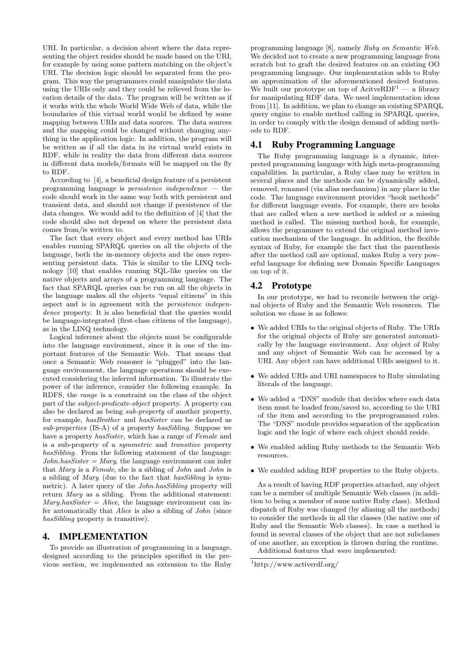URI. In particular, a decision about where the data representing the object resides should be made based on the URI, for example by using some pattern matching on the object's URI. The decision logic should be separated from the program. This way the programmers could manipulate the data using the URIs only and they could be relieved from the location details of the data. The program will be written as if it works with the whole World Wide Web of data, while the boundaries of this virtual world would be defined by some mapping between URIs and data sources. The data sources and the mapping could be changed without changing anything in the application logic. In addition, the program will be written as if all the data in its virtual world exists in RDF, while in reality the data from different data sources in different data models/formats will be mapped on the fly to RDF.

According to [4], a beneficial design feature of a persistent programming language is *persistence independence*  $-$  the code should work in the same way both with persistent and transient data, and should not change if persistence of the data changes. We would add to the definition of [4] that the code should also not depend on where the persistent data comes from/is written to.

The fact that every object and every method has URIs enables running SPARQL queries on all the objects of the language, both the in-memory objects and the ones representing persistent data. This is similar to the LINQ technology [10] that enables running SQL-like queries on the native objects and arrays of a programming language. The fact that SPARQL queries can be run on all the objects in the language makes all the objects "equal citizens" in this aspect and is in agreement with the persistence independence property. It is also beneficial that the queries would be language-integrated (first-class citizens of the language), as in the LINQ technology.

Logical inference about the objects must be configurable into the language environment, since it is one of the important features of the Semantic Web. That means that once a Semantic Web reasoner is "plugged" into the language environment, the language operations should be executed considering the inferred information. To illustrate the power of the inference, consider the following example. In RDFS, the range is a constraint on the class of the object part of the subject-predicate-object property. A property can also be declared as being sub-property of another property, for example, hasBrother and hasSister can be declared as sub-properties (IS-A) of a property hasSibling. Suppose we have a property *hasSister*, which has a range of *Female* and is a sub-property of a symmetric and transitive property hasSibling. From the following statement of the language:  $John. has Sister = Mary$ , the language environment can infer that Mary is a Female, she is a sibling of John and John is a sibling of Mary (due to the fact that hasSibling is symmetric). A later query of the John.hasSibling property will return Mary as a sibling. From the additional statement:  $Mary. has Sister = Alice$ , the language environment can infer automatically that Alice is also a sibling of John (since hasSibling property is transitive).

#### 4. IMPLEMENTATION

To provide an illustration of programming in a language, designed according to the principles specified in the previous section, we implemented an extension to the Ruby

programming language [8], namely Ruby on Semantic Web. We decided not to create a new programming language from scratch but to graft the desired features on an existing OO programming language. Our implementation adds to Ruby an approximation of the aforementioned desired features. We built our prototype on top of  $\text{AcitveRDF}^1$  — a library for manipulating RDF data. We used implementation ideas from [11]. In addition, we plan to change an existing SPARQL query engine to enable method calling in SPARQL queries, in order to comply with the design demand of adding methods to RDF.

# 4.1 Ruby Programming Language

The Ruby programming language is a dynamic, interpreted programming language with high meta-programming capabilities. In particular, a Ruby class may be written in several places and the methods can be dynamically added, removed, renamed (via alias mechanism) in any place in the code. The language environment provides "hook methods" for different language events. For example, there are hooks that are called when a new method is added or a missing method is called. The missing method hook, for example, allows the programmer to extend the original method invocation mechanism of the language. In addition, the flexible syntax of Ruby, for example the fact that the parenthesis after the method call are optional, makes Ruby a very powerful language for defining new Domain Specific Languages on top of it.

#### 4.2 Prototype

In our prototype, we had to reconcile between the original objects of Ruby and the Semantic Web resources. The solution we chose is as follows:

- We added URIs to the original objects of Ruby. The URIs for the original objects of Ruby are generated automatically by the language environment. Any object of Ruby and any object of Semantic Web can be accessed by a URI. Any object can have additional URIs assigned to it.
- We added URIs and URI namespaces to Ruby simulating literals of the language.
- We added a "DNS" module that decides where each data item must be loaded from/saved to, according to the URI of the item and according to the preprogrammed rules. The "DNS" module provides separation of the application logic and the logic of where each object should reside.
- We enabled adding Ruby methods to the Semantic Web resources.
- We enabled adding RDF properties to the Ruby objects.

As a result of having RDF properties attached, any object can be a member of multiple Semantic Web classes (in addition to being a member of some native Ruby class). Method dispatch of Ruby was changed (by aliasing all the methods) to consider the methods in all the classes (the native one of Ruby and the Semantic Web classes). In case a method is found in several classes of the object that are not subclasses of one another, an exception is thrown during the runtime. Additional features that were implemented:

<sup>1</sup>http://www.activerdf.org/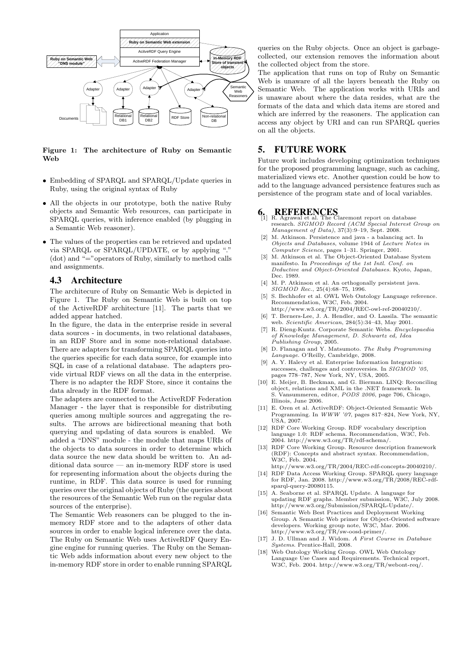

Figure 1: The architecture of Ruby on Semantic Web

- Embedding of SPARQL and SPARQL/Update queries in Ruby, using the original syntax of Ruby
- All the objects in our prototype, both the native Ruby objects and Semantic Web resources, can participate in SPARQL queries, with inference enabled (by plugging in a Semantic Web reasoner).
- The values of the properties can be retrieved and updated via SPARQL or SPARQL/UPDATE, or by applying "." (dot) and "="operators of Ruby, similarly to method calls and assignments.

#### 4.3 Architecture

The architecure of Ruby on Semantic Web is depicted in Figure 1. The Ruby on Semantic Web is built on top of the ActiveRDF architecture [11]. The parts that we added appear hatched.

In the figure, the data in the enterprise reside in several data sources - in documents, in two relational databases, in an RDF Store and in some non-relational database. There are adapters for transforming SPARQL queries into the queries specific for each data source, for example into SQL in case of a relational database. The adapters provide virtual RDF views on all the data in the enterprise. There is no adapter the RDF Store, since it contains the data already in the RDF format.

The adapters are connected to the ActiveRDF Federation Manager - the layer that is responsible for distributing queries among multiple sources and aggregating the results. The arrows are bidirectional meaning that both querying and updating of data sources is enabled. We added a "DNS" module - the module that maps URIs of the objects to data sources in order to determine which data source the new data should be written to. An additional data source — an in-memory RDF store is used for representing information about the objects during the runtime, in RDF. This data source is used for running queries over the original objects of Ruby (the queries about the resources of the Semantic Web run on the regular data sources of the enterprise).

The Semantic Web reasoners can be plugged to the inmemory RDF store and to the adapters of other data sources in order to enable logical inference over the data. The Ruby on Semantic Web uses ActiveRDF Query Engine engine for running queries. The Ruby on the Semantic Web adds information about every new object to the in-memory RDF store in order to enable running SPARQL queries on the Ruby objects. Once an object is garbagecollected, our extension removes the information about the collected object from the store.

The application that runs on top of Ruby on Semantic Web is unaware of all the layers beneath the Ruby on Semantic Web. The application works with URIs and is unaware about where the data resides, what are the formats of the data and which data items are stored and which are inferred by the reasoners. The application can access any object by URI and can run SPARQL queries on all the objects.

### 5. FUTURE WORK

Future work includes developing optimization techniques for the proposed programming language, such as caching, materialized views etc. Another question could be how to add to the language advanced persistence features such as persistence of the program state and of local variables.

# 6. REFERENCES [1] R. Agrawal et al. The Claremont report on database

- research. SIGMOD Record (ACM Special Interest Group on Management of Data), 37(3):9–19, Sept. 2008.
- [2] M. Atkinson. Persistence and java a balancing act. In Objects and Databases, volume 1944 of Lecture Notes in Computer Science, pages 1–31. Springer, 2001.
- M. Atkinson et al. The Object-Oriented Database System manifesto. In Proceedings of the 1st Intl. Conf. on Deductive and Object-Oriented Databases. Kyoto, Japan, Dec. 1989.
- [4] M. P. Atkinson et al. An orthogonally persistent java. SIGMOD Rec., 25(4):68–75, 1996.
- [5] S. Bechhofer et al. OWL Web Ontology Language reference. Recommendation, W3C, Feb. 2004.
- http://www.w3.org/TR/2004/REC-owl-ref-20040210/. [6] T. Berners-Lee, J. A. Hendler, and O. Lassila. The semantic web. Scientific American, 284(5):34–43, May 2001.
- [7] R. Dieng-Kuntz. Corporate Semantic Webs. Encyclopaedia of Knowledge Management, D. Schwartz ed, Idea
- Publishing Group, 2005. [8] D. Flanagan and Y. Matsumoto. The Ruby Programming Language. O'Reilly, Cambridge, 2008.
- [9] A. Y. Halevy et al. Enterprise Information Integration: successes, challenges and controversies. In  $SIGMOD$  '05, pages 778–787, New York, NY, USA, 2005.
- [10] E. Meijer, B. Beckman, and G. Bierman. LINQ: Reconciling object, relations and XML in the .NET framework. In S. Vansummeren, editor, PODS 2006, page 706, Chicago, Illinois, June 2006.
- [11] E. Oren et al. ActiveRDF: Object-Oriented Semantic Web Programming. In WWW '07, pages 817–824, New York, NY, USA, 2007.
- [12] RDF Core Working Group. RDF vocabulary description language 1.0: RDF schema. Recommendation, W3C, Feb. 2004. http://www.w3.org/TR/rdf-schema/.
- [13] RDF Core Working Group. Resource description framework (RDF): Concepts and abstract syntax. Recommendation, W3C, Feb. 2004.
- http://www.w3.org/TR/2004/REC-rdf-concepts-20040210/. [14] RDF Data Access Working Group. SPARQL query language for RDF, Jan. 2008. http://www.w3.org/TR/2008/REC-rdfsparql-query-20080115.
- [15] A. Seaborne et al. SPARQL Update. A language for updating RDF graphs. Member submission, W3C, July 2008. http://www.w3.org/Submission/SPARQL-Update/.
- [16] Semantic Web Best Practices and Deployment Working Group. A Semantic Web primer for Object-Oriented software developers. Working group note, W3C, Mar. 2006. http://www.w3.org/TR/sw-oosd-primer/.
- [17] J. D. Ullman and J. Widom. A First Course in Database Systems. Prentice-Hall, 2008.
- [18] Web Ontology Working Group. OWL Web Ontology Language Use Cases and Requirements. Technical report, W3C, Feb. 2004. http://www.w3.org/TR/webont-req/.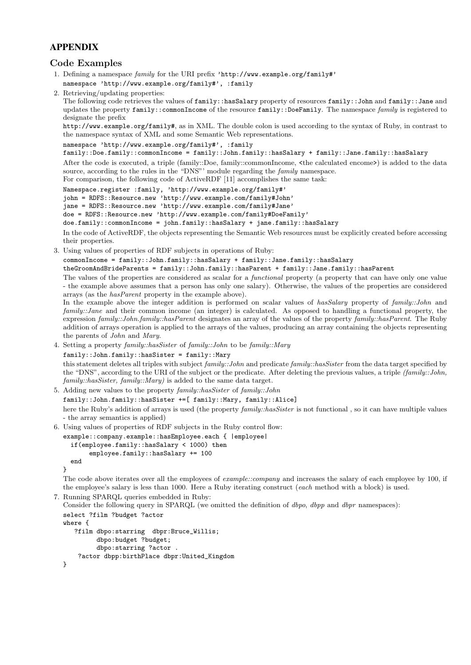# APPENDIX

# Code Examples

- 1. Defining a namespace family for the URI prefix 'http://www.example.org/family#'
- namespace 'http://www.example.org/family#', :family
- 2. Retrieving/updating properties:

The following code retrieves the values of family::hasSalary property of resources family::John and family::Jane and updates the property family::commonIncome of the resource family::DoeFamily. The namespace family is registered to designate the prefix

http://www.example.org/family#, as in XML. The double colon is used according to the syntax of Ruby, in contrast to the namespace syntax of XML and some Semantic Web representations.

```
namespace 'http://www.example.org/family#', :family
```
family::Doe.family::commonIncome = family::John.family::hasSalary + family::Jane.family::hasSalary

After the code is executed, a triple (family::Doe, family::commonIncome, <the calculated encome>) is added to the data source, according to the rules in the "DNS"' module regarding the *family* namespace. For comparison, the following code of ActiveRDF [11] accomplishes the same task:

Namespace.register :family, 'http://www.example.org/family#'

john = RDFS::Resource.new 'http://www.example.com/family#John'

jane = RDFS::Resource.new 'http://www.example.com/family#Jane'

doe = RDFS::Resource.new 'http://www.example.com/family#DoeFamily'

doe.family::commonIncome = john.family::hasSalary + jane.family::hasSalary

In the code of ActiveRDF, the objects representing the Semantic Web resources must be explicitly created before accessing their properties.

3. Using values of properties of RDF subjects in operations of Ruby:

commonIncome = family::John.family::hasSalary + family::Jane.family::hasSalary

theGroomAndBrideParents = family::John.family::hasParent + family::Jane.family::hasParent

The values of the properties are considered as scalar for a *functional* property (a property that can have only one value - the example above assumes that a person has only one salary). Otherwise, the values of the properties are considered arrays (as the hasParent property in the example above).

In the example above the integer addition is performed on scalar values of hasSalary property of family::John and family::Jane and their common income (an integer) is calculated. As opposed to handling a functional property, the expression family::John.family::hasParent designates an array of the values of the property family::hasParent. The Ruby addition of arrays operation is applied to the arrays of the values, producing an array containing the objects representing the parents of John and Mary.

4. Setting a property family::hasSister of family::John to be family::Mary

family::John.family::hasSister = family::Mary

this statement deletes all triples with subject family::*John* and predicate family::hasSister from the data target specified by the "DNS", according to the URI of the subject or the predicate. After deleting the previous values, a triple (family::John, family::hasSister, family::Mary) is added to the same data target.

5. Adding new values to the property family::hasSister of family::John

family::John.family::hasSister +=[ family::Mary, family::Alice]

here the Ruby's addition of arrays is used (the property family::hasSister is not functional, so it can have multiple values - the array semantics is applied)

6. Using values of properties of RDF subjects in the Ruby control flow:

```
example::company.example::hasEmployee.each { |employee|
 if(employee.family::hasSalary < 1000) then
       employee.family::hasSalary += 100
 end
```
}

The code above iterates over all the employees of *example::company* and increases the salary of each employee by 100, if the employee's salary is less than 1000. Here a Ruby iterating construct (each method with a block) is used.

```
7. Running SPARQL queries embedded in Ruby:
```
Consider the following query in SPARQL (we omitted the definition of *dbpo*, *dbpp* and *dbpr* namespaces):

```
select ?film ?budget ?actor
where {
  ?film dbpo:starring dbpr:Bruce_Willis;
        dbpo:budget ?budget;
        dbpo:starring ?actor .
    ?actor dbpp:birthPlace dbpr:United_Kingdom
}
```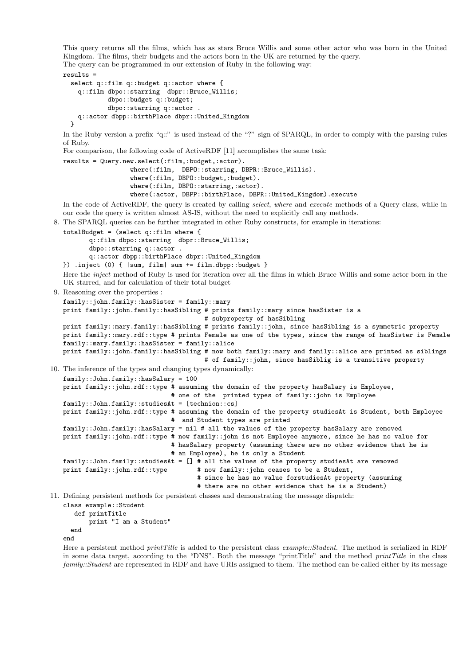This query returns all the films, which has as stars Bruce Willis and some other actor who was born in the United Kingdom. The films, their budgets and the actors born in the UK are returned by the query. The query can be programmed in our extension of Ruby in the following way:

```
results =
 select q::film q::budget q::actor where {
   q::film dbpo::starring dbpr::Bruce_Willis;
           dbpo::budget q::budget;
           dbpo::starring q::actor .
    q::actor dbpp::birthPlace dbpr::United_Kingdom
 }
```
In the Ruby version a prefix "q::" is used instead of the "?" sign of SPARQL, in order to comply with the parsing rules of Ruby.

For comparison, the following code of ActiveRDF [11] accomplishes the same task:

```
results = Query.new.select(:film,:budget,:actor).
                  where(:film, DBPO::starring, DBPR::Bruce_Willis).
                  where(:film, DBPO::budget,:budget).
                  where(:film, DBPO::starring,:actor).
                  where(:actor, DBPP::birthPlace, DBPR::United_Kingdom).execute
```
In the code of ActiveRDF, the query is created by calling *select, where* and *execute* methods of a Query class, while in our code the query is written almost AS-IS, without the need to explicitly call any methods.

8. The SPARQL queries can be further integrated in other Ruby constructs, for example in iterations:

```
totalBudget = (select q::film where {
```

```
q::film dbpo::starring dbpr::Bruce_Willis;
      dbpo::starring q::actor .
       q::actor dbpp::birthPlace dbpr::United_Kingdom
}) .inject (0) { |sum, film| sum += film.dbpp::budget }
```
Here the inject method of Ruby is used for iteration over all the films in which Bruce Willis and some actor born in the UK starred, and for calculation of their total budget

9. Reasoning over the properties :

```
family::john.family::hasSister = family::mary
print family::john.family::hasSibling # prints family::mary since hasSister is a
                                      # subproperty of hasSibling
print family::mary.family::hasSibling # prints family::john, since hasSibling is a symmetric property
print family::mary.rdf::type # prints Female as one of the types, since the range of hasSister is Female
family::mary.family::hasSister = family::alice
print family::john.family::hasSibling # now both family::mary and family::alice are printed as siblings
                                      # of family::john, since hasSiblig is a transitive property
```
10. The inference of the types and changing types dynamically:

family::John.family::hasSalary = 100 print family::john.rdf::type # assuming the domain of the property hasSalary is Employee, # one of the printed types of family::john is Employee family::John.family::studiesAt = [technion::cs] print family::john.rdf::type # assuming the domain of the property studiesAt is Student, both Employee # and Student types are printed family::John.family::hasSalary = nil # all the values of the property hasSalary are removed print family::john.rdf::type # now family::john is not Employee anymore, since he has no value for # hasSalary property (assuming there are no other evidence that he is # an Employee), he is only a Student family::John.family::studiesAt = [] # all the values of the property studiesAt are removed print family::john.rdf::type # now family::john ceases to be a Student, # since he has no value forstudiesAt property (assuming # there are no other evidence that he is a Student)

11. Defining persistent methods for persistent classes and demonstrating the message dispatch:

class example::Student

def printTitle print "I am a Student" end

end

Here a persistent method *printTitle* is added to the persistent class *example::Student*. The method is serialized in RDF in some data target, according to the "DNS". Both the message "printTitle" and the method printTitle in the class family::Student are represented in RDF and have URIs assigned to them. The method can be called either by its message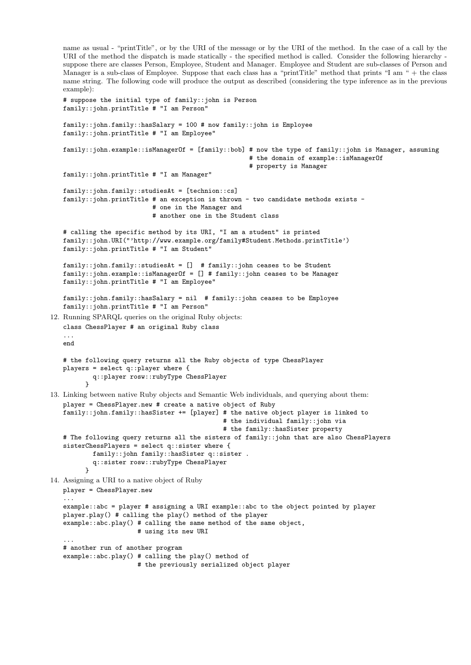```
name as usual - "printTitle", or by the URI of the message or by the URI of the method. In the case of a call by the
   URI of the method the dispatch is made statically - the specified method is called. Consider the following hierarchy -
   suppose there are classes Person, Employee, Student and Manager. Employee and Student are sub-classes of Person and
   Manager is a sub-class of Employee. Suppose that each class has a "printTitle" method that prints "I am " + the class
   name string. The following code will produce the output as described (considering the type inference as in the previous
   example):
   # suppose the initial type of family::john is Person
   family::john.printTitle # "I am Person"
   family::john.family::hasSalary = 100 # now family::john is Employee
   family::john.printTitle # "I am Employee"
   family::john.example::isManagerOf = [family::bob] # now the type of family::john is Manager, assuming
                                                       # the domain of example::isManagerOf
                                                       # property is Manager
   family::john.printTitle # "I am Manager"
   family::john.family::studiesAt = [technion::cs]
   family::john.printTitle # an exception is thrown - two candidate methods exists -
                            # one in the Manager and
                            # another one in the Student class
   # calling the specific method by its URI, "I am a student" is printed
   family::john.URI("'http://www.example.org/family#Student.Methods.printTitle')
   family::john.printTitle # "I am Student"
   family::john.family::studiesAt = [] # family::john ceases to be Student
   family::john.example::isManagerOf = [] # family::john ceases to be Manager
   family::john.printTitle # "I am Employee"
   family::john.family::hasSalary = nil # family::john ceases to be Employee
   family::john.printTitle # "I am Person"
12. Running SPARQL queries on the original Ruby objects:
   class ChessPlayer # an original Ruby class
   end
   # the following query returns all the Ruby objects of type ChessPlayer
   players = select q::player where {
           q::player rosw::rubyType ChessPlayer
         }
13. Linking between native Ruby objects and Semantic Web individuals, and querying about them:
   player = ChessPlayer.new # create a native object of Ruby
   family::john.family::hasSister += [player] # the native object player is linked to
                                                # the individual family::john via
                                                # the family::hasSister property
   # The following query returns all the sisters of family::john that are also ChessPlayers
   sisterChessPlayers = select q::sister where {
           family::john family::hasSister q::sister .
           q::sister rosw::rubyType ChessPlayer
         \mathbf{I}14. Assigning a URI to a native object of Ruby
   player = ChessPlayer.new
   ...
   example::abc = player # assigning a URI example::abc to the object pointed by player
   player.play() # calling the play() method of the player
   example::abc.play() # calling the same method of the same object,
                        # using its new URI
   ...
   # another run of another program
   example::abc.play() # calling the play() method of
                        # the previously serialized object player
```